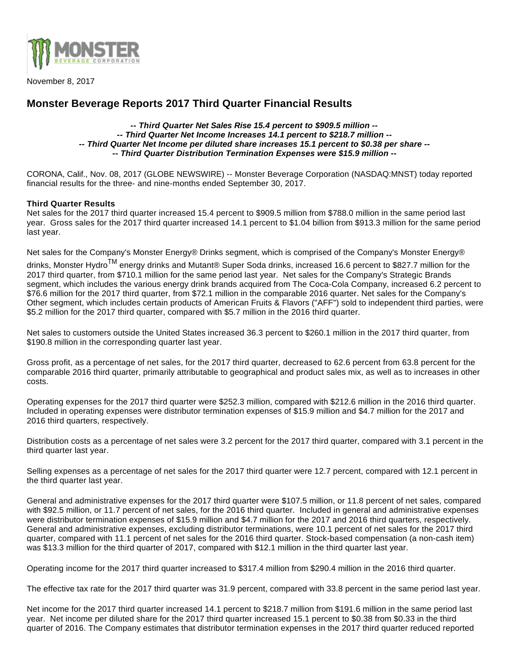

November 8, 2017

# **Monster Beverage Reports 2017 Third Quarter Financial Results**

#### **-- Third Quarter Net Sales Rise 15.4 percent to \$909.5 million -- -- Third Quarter Net Income Increases 14.1 percent to \$218.7 million -- -- Third Quarter Net Income per diluted share increases 15.1 percent to \$0.38 per share -- -- Third Quarter Distribution Termination Expenses were \$15.9 million --**

CORONA, Calif., Nov. 08, 2017 (GLOBE NEWSWIRE) -- Monster Beverage Corporation (NASDAQ:MNST) today reported financial results for the three- and nine-months ended September 30, 2017.

### **Third Quarter Results**

Net sales for the 2017 third quarter increased 15.4 percent to \$909.5 million from \$788.0 million in the same period last year. Gross sales for the 2017 third quarter increased 14.1 percent to \$1.04 billion from \$913.3 million for the same period last year.

Net sales for the Company's Monster Energy® Drinks segment, which is comprised of the Company's Monster Energy® drinks, Monster Hydro<sup>TM</sup> energy drinks and Mutant® Super Soda drinks, increased 16.6 percent to \$827.7 million for the 2017 third quarter, from \$710.1 million for the same period last year. Net sales for the Company's Strategic Brands segment, which includes the various energy drink brands acquired from The Coca-Cola Company, increased 6.2 percent to \$76.6 million for the 2017 third quarter, from \$72.1 million in the comparable 2016 quarter. Net sales for the Company's Other segment, which includes certain products of American Fruits & Flavors ("AFF") sold to independent third parties, were \$5.2 million for the 2017 third quarter, compared with \$5.7 million in the 2016 third quarter.

Net sales to customers outside the United States increased 36.3 percent to \$260.1 million in the 2017 third quarter, from \$190.8 million in the corresponding quarter last year.

Gross profit, as a percentage of net sales, for the 2017 third quarter, decreased to 62.6 percent from 63.8 percent for the comparable 2016 third quarter, primarily attributable to geographical and product sales mix, as well as to increases in other costs.

Operating expenses for the 2017 third quarter were \$252.3 million, compared with \$212.6 million in the 2016 third quarter. Included in operating expenses were distributor termination expenses of \$15.9 million and \$4.7 million for the 2017 and 2016 third quarters, respectively.

Distribution costs as a percentage of net sales were 3.2 percent for the 2017 third quarter, compared with 3.1 percent in the third quarter last year.

Selling expenses as a percentage of net sales for the 2017 third quarter were 12.7 percent, compared with 12.1 percent in the third quarter last year.

General and administrative expenses for the 2017 third quarter were \$107.5 million, or 11.8 percent of net sales, compared with \$92.5 million, or 11.7 percent of net sales, for the 2016 third quarter. Included in general and administrative expenses were distributor termination expenses of \$15.9 million and \$4.7 million for the 2017 and 2016 third quarters, respectively. General and administrative expenses, excluding distributor terminations, were 10.1 percent of net sales for the 2017 third quarter, compared with 11.1 percent of net sales for the 2016 third quarter. Stock-based compensation (a non-cash item) was \$13.3 million for the third quarter of 2017, compared with \$12.1 million in the third quarter last year.

Operating income for the 2017 third quarter increased to \$317.4 million from \$290.4 million in the 2016 third quarter.

The effective tax rate for the 2017 third quarter was 31.9 percent, compared with 33.8 percent in the same period last year.

Net income for the 2017 third quarter increased 14.1 percent to \$218.7 million from \$191.6 million in the same period last year. Net income per diluted share for the 2017 third quarter increased 15.1 percent to \$0.38 from \$0.33 in the third quarter of 2016. The Company estimates that distributor termination expenses in the 2017 third quarter reduced reported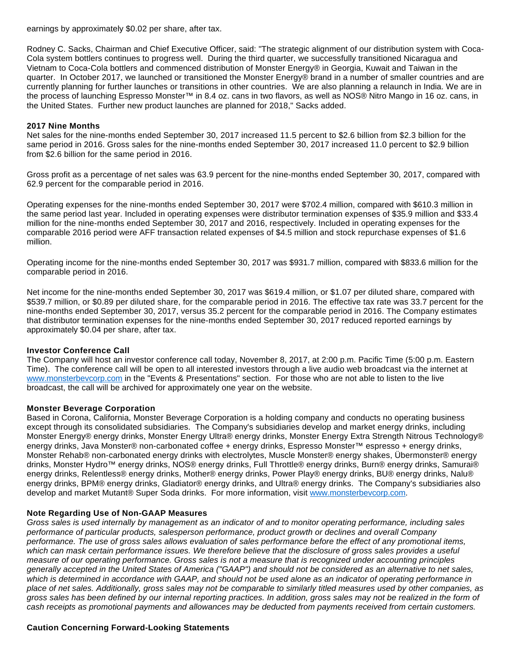earnings by approximately \$0.02 per share, after tax.

Rodney C. Sacks, Chairman and Chief Executive Officer, said: "The strategic alignment of our distribution system with Coca-Cola system bottlers continues to progress well. During the third quarter, we successfully transitioned Nicaragua and Vietnam to Coca-Cola bottlers and commenced distribution of Monster Energy® in Georgia, Kuwait and Taiwan in the quarter. In October 2017, we launched or transitioned the Monster Energy® brand in a number of smaller countries and are currently planning for further launches or transitions in other countries. We are also planning a relaunch in India. We are in the process of launching Espresso Monster™ in 8.4 oz. cans in two flavors, as well as NOS® Nitro Mango in 16 oz. cans, in the United States. Further new product launches are planned for 2018," Sacks added.

### **2017 Nine Months**

Net sales for the nine-months ended September 30, 2017 increased 11.5 percent to \$2.6 billion from \$2.3 billion for the same period in 2016. Gross sales for the nine-months ended September 30, 2017 increased 11.0 percent to \$2.9 billion from \$2.6 billion for the same period in 2016.

Gross profit as a percentage of net sales was 63.9 percent for the nine-months ended September 30, 2017, compared with 62.9 percent for the comparable period in 2016.

Operating expenses for the nine-months ended September 30, 2017 were \$702.4 million, compared with \$610.3 million in the same period last year. Included in operating expenses were distributor termination expenses of \$35.9 million and \$33.4 million for the nine-months ended September 30, 2017 and 2016, respectively. Included in operating expenses for the comparable 2016 period were AFF transaction related expenses of \$4.5 million and stock repurchase expenses of \$1.6 million.

Operating income for the nine-months ended September 30, 2017 was \$931.7 million, compared with \$833.6 million for the comparable period in 2016.

Net income for the nine-months ended September 30, 2017 was \$619.4 million, or \$1.07 per diluted share, compared with \$539.7 million, or \$0.89 per diluted share, for the comparable period in 2016. The effective tax rate was 33.7 percent for the nine-months ended September 30, 2017, versus 35.2 percent for the comparable period in 2016. The Company estimates that distributor termination expenses for the nine-months ended September 30, 2017 reduced reported earnings by approximately \$0.04 per share, after tax.

### **Investor Conference Call**

The Company will host an investor conference call today, November 8, 2017, at 2:00 p.m. Pacific Time (5:00 p.m. Eastern Time). The conference call will be open to all interested investors through a live audio web broadcast via the internet at [www.monsterbevcorp.com](https://www.globenewswire.com/Tracker?data=1OByO0fYAVm4jOxO_fnLtt23cdJYuOtSzB6Ua_9OWBxim_wq69cI7pJvNtPFHaXGRdAt_ruw9B2ggwQbXbDOcyymTm4y1ybJ10P7u22fF4k=) in the "Events & Presentations" section. For those who are not able to listen to the live broadcast, the call will be archived for approximately one year on the website.

### **Monster Beverage Corporation**

Based in Corona, California, Monster Beverage Corporation is a holding company and conducts no operating business except through its consolidated subsidiaries. The Company's subsidiaries develop and market energy drinks, including Monster Energy® energy drinks, Monster Energy Ultra® energy drinks, Monster Energy Extra Strength Nitrous Technology® energy drinks, Java Monster® non-carbonated coffee + energy drinks, Espresso Monster™ espresso + energy drinks, Monster Rehab® non-carbonated energy drinks with electrolytes, Muscle Monster® energy shakes, Übermonster® energy drinks, Monster Hydro™ energy drinks, NOS® energy drinks, Full Throttle® energy drinks, Burn® energy drinks, Samurai® energy drinks, Relentless® energy drinks, Mother® energy drinks, Power Play® energy drinks, BU® energy drinks, Nalu® energy drinks, BPM® energy drinks, Gladiator® energy drinks, and Ultra® energy drinks. The Company's subsidiaries also develop and market Mutant® Super Soda drinks. For more information, visit [www.monsterbevcorp.com](https://www.globenewswire.com/Tracker?data=1OByO0fYAVm4jOxO_fnLtt23cdJYuOtSzB6Ua_9OWBwQr6HFp50T9_sUyI8mwrdK5kP3e-iij_pPmEmNgHnXVsftGDWkhEDwWZ65jq5_ZK0=).

# **Note Regarding Use of Non-GAAP Measures**

Gross sales is used internally by management as an indicator of and to monitor operating performance, including sales performance of particular products, salesperson performance, product growth or declines and overall Company performance. The use of gross sales allows evaluation of sales performance before the effect of any promotional items, which can mask certain performance issues. We therefore believe that the disclosure of gross sales provides a useful measure of our operating performance. Gross sales is not a measure that is recognized under accounting principles generally accepted in the United States of America ("GAAP") and should not be considered as an alternative to net sales, which is determined in accordance with GAAP, and should not be used alone as an indicator of operating performance in place of net sales. Additionally, gross sales may not be comparable to similarly titled measures used by other companies, as gross sales has been defined by our internal reporting practices. In addition, gross sales may not be realized in the form of cash receipts as promotional payments and allowances may be deducted from payments received from certain customers.

### **Caution Concerning Forward-Looking Statements**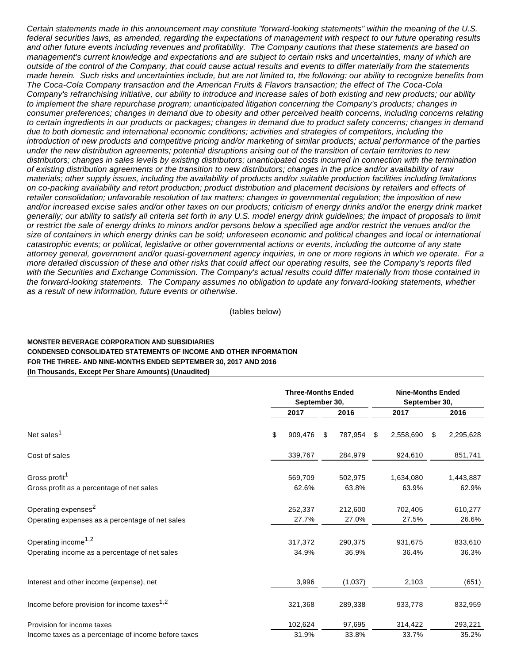Certain statements made in this announcement may constitute "forward-looking statements" within the meaning of the U.S. federal securities laws, as amended, regarding the expectations of management with respect to our future operating results and other future events including revenues and profitability. The Company cautions that these statements are based on management's current knowledge and expectations and are subject to certain risks and uncertainties, many of which are outside of the control of the Company, that could cause actual results and events to differ materially from the statements made herein. Such risks and uncertainties include, but are not limited to, the following: our ability to recognize benefits from The Coca-Cola Company transaction and the American Fruits & Flavors transaction; the effect of The Coca-Cola Company's refranchising initiative, our ability to introduce and increase sales of both existing and new products; our ability to implement the share repurchase program; unanticipated litigation concerning the Company's products; changes in consumer preferences; changes in demand due to obesity and other perceived health concerns, including concerns relating to certain ingredients in our products or packages; changes in demand due to product safety concerns; changes in demand due to both domestic and international economic conditions; activities and strategies of competitors, including the introduction of new products and competitive pricing and/or marketing of similar products; actual performance of the parties under the new distribution agreements; potential disruptions arising out of the transition of certain territories to new distributors; changes in sales levels by existing distributors; unanticipated costs incurred in connection with the termination of existing distribution agreements or the transition to new distributors; changes in the price and/or availability of raw materials; other supply issues, including the availability of products and/or suitable production facilities including limitations on co-packing availability and retort production; product distribution and placement decisions by retailers and effects of retailer consolidation; unfavorable resolution of tax matters; changes in governmental regulation; the imposition of new and/or increased excise sales and/or other taxes on our products; criticism of energy drinks and/or the energy drink market generally; our ability to satisfy all criteria set forth in any U.S. model energy drink guidelines; the impact of proposals to limit or restrict the sale of energy drinks to minors and/or persons below a specified age and/or restrict the venues and/or the size of containers in which energy drinks can be sold; unforeseen economic and political changes and local or international catastrophic events; or political, legislative or other governmental actions or events, including the outcome of any state attorney general, government and/or quasi-government agency inquiries, in one or more regions in which we operate. For a more detailed discussion of these and other risks that could affect our operating results, see the Company's reports filed with the Securities and Exchange Commission. The Company's actual results could differ materially from those contained in the forward-looking statements. The Company assumes no obligation to update any forward-looking statements, whether as a result of new information, future events or otherwise.

(tables below)

#### **MONSTER BEVERAGE CORPORATION AND SUBSIDIARIES CONDENSED CONSOLIDATED STATEMENTS OF INCOME AND OTHER INFORMATION FOR THE THREE- AND NINE-MONTHS ENDED SEPTEMBER 30, 2017 AND 2016 (In Thousands, Except Per Share Amounts) (Unaudited)**

|                                                         | <b>Three-Months Ended</b><br>September 30, |    |         | <b>Nine-Months Ended</b><br>September 30, |           |    |           |
|---------------------------------------------------------|--------------------------------------------|----|---------|-------------------------------------------|-----------|----|-----------|
|                                                         | 2017                                       |    | 2016    |                                           | 2017      |    | 2016      |
| Net sales <sup>1</sup>                                  | \$<br>909,476                              | \$ | 787,954 | - \$                                      | 2,558,690 | \$ | 2,295,628 |
| Cost of sales                                           | 339,767                                    |    | 284,979 |                                           | 924,610   |    | 851,741   |
| Gross profit <sup>1</sup>                               | 569,709                                    |    | 502,975 |                                           | 1,634,080 |    | 1,443,887 |
| Gross profit as a percentage of net sales               | 62.6%                                      |    | 63.8%   |                                           | 63.9%     |    | 62.9%     |
| Operating expenses <sup>2</sup>                         | 252,337                                    |    | 212,600 |                                           | 702,405   |    | 610,277   |
| Operating expenses as a percentage of net sales         | 27.7%                                      |    | 27.0%   |                                           | 27.5%     |    | 26.6%     |
| Operating income <sup>1,2</sup>                         | 317,372                                    |    | 290.375 |                                           | 931,675   |    | 833,610   |
| Operating income as a percentage of net sales           | 34.9%                                      |    | 36.9%   |                                           | 36.4%     |    | 36.3%     |
| Interest and other income (expense), net                | 3,996                                      |    | (1,037) |                                           | 2,103     |    | (651)     |
| Income before provision for income taxes <sup>1,2</sup> | 321,368                                    |    | 289,338 |                                           | 933,778   |    | 832,959   |
| Provision for income taxes                              | 102,624                                    |    | 97,695  |                                           | 314,422   |    | 293,221   |
| Income taxes as a percentage of income before taxes     | 31.9%                                      |    | 33.8%   |                                           | 33.7%     |    | 35.2%     |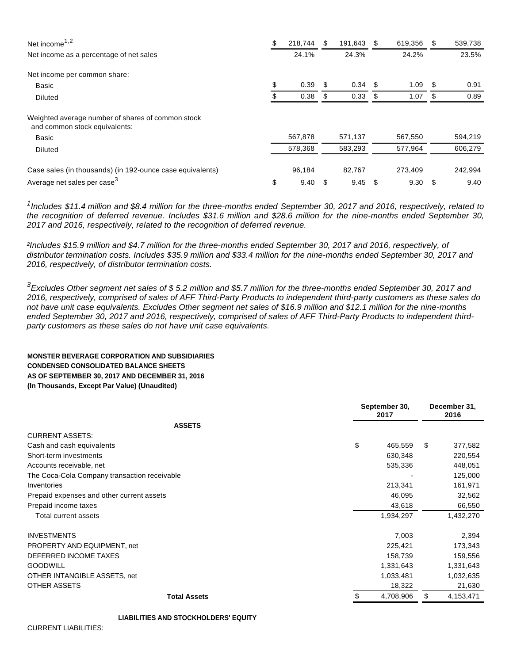| Net income <sup>1,2</sup>                                                          | \$. | 218,744 | S. | 191,643 | S | 619,356 | \$.  | 539,738 |
|------------------------------------------------------------------------------------|-----|---------|----|---------|---|---------|------|---------|
| Net income as a percentage of net sales                                            |     | 24.1%   |    | 24.3%   |   | 24.2%   |      | 23.5%   |
| Net income per common share:                                                       |     |         |    |         |   |         |      |         |
| <b>Basic</b>                                                                       | \$  | 0.39    |    | 0.34    | S | 1.09    | S    | 0.91    |
| Diluted                                                                            |     | 0.38    |    | 0.33    |   | 1.07    | \$.  | 0.89    |
| Weighted average number of shares of common stock<br>and common stock equivalents: |     |         |    |         |   |         |      |         |
| <b>Basic</b>                                                                       |     | 567,878 |    | 571.137 |   | 567,550 |      | 594,219 |
| Diluted                                                                            |     | 578,368 |    | 583.293 |   | 577,964 |      | 606,279 |
| Case sales (in thousands) (in 192-ounce case equivalents)                          |     | 96,184  |    | 82,767  |   | 273,409 |      | 242,994 |
| Average net sales per case <sup>3</sup>                                            | \$  | 9.40    |    | 9.45    |   | 9.30    | - \$ | 9.40    |

<sup>1</sup>Includes \$11.4 million and \$8.4 million for the three-months ended September 30, 2017 and 2016, respectively, related to the recognition of deferred revenue. Includes \$31.6 million and \$28.6 million for the nine-months ended September 30, 2017 and 2016, respectively, related to the recognition of deferred revenue.

²Includes \$15.9 million and \$4.7 million for the three-months ended September 30, 2017 and 2016, respectively, of distributor termination costs. Includes \$35.9 million and \$33.4 million for the nine-months ended September 30, 2017 and 2016, respectively, of distributor termination costs.

 $3$ Excludes Other segment net sales of \$5.2 million and \$5.7 million for the three-months ended September 30, 2017 and 2016, respectively, comprised of sales of AFF Third-Party Products to independent third-party customers as these sales do not have unit case equivalents. Excludes Other segment net sales of \$16.9 million and \$12.1 million for the nine-months ended September 30, 2017 and 2016, respectively, comprised of sales of AFF Third-Party Products to independent thirdparty customers as these sales do not have unit case equivalents.

### **MONSTER BEVERAGE CORPORATION AND SUBSIDIARIES CONDENSED CONSOLIDATED BALANCE SHEETS AS OF SEPTEMBER 30, 2017 AND DECEMBER 31, 2016 (In Thousands, Except Par Value) (Unaudited)**

|                                              | September 30,<br>2017 |           | December 31,<br>2016 |           |  |
|----------------------------------------------|-----------------------|-----------|----------------------|-----------|--|
| <b>ASSETS</b>                                |                       |           |                      |           |  |
| <b>CURRENT ASSETS:</b>                       |                       |           |                      |           |  |
| Cash and cash equivalents                    | \$                    | 465,559   | \$                   | 377,582   |  |
| Short-term investments                       |                       | 630,348   |                      | 220,554   |  |
| Accounts receivable, net                     |                       | 535,336   |                      | 448,051   |  |
| The Coca-Cola Company transaction receivable |                       |           |                      | 125,000   |  |
| Inventories                                  |                       | 213,341   |                      | 161,971   |  |
| Prepaid expenses and other current assets    |                       | 46,095    |                      | 32,562    |  |
| Prepaid income taxes                         |                       | 43,618    |                      | 66,550    |  |
| Total current assets                         |                       | 1,934,297 |                      | 1,432,270 |  |
| <b>INVESTMENTS</b>                           |                       | 7,003     |                      | 2,394     |  |
| PROPERTY AND EQUIPMENT, net                  |                       | 225,421   |                      | 173,343   |  |
| DEFERRED INCOME TAXES                        |                       | 158,739   |                      | 159,556   |  |
| <b>GOODWILL</b>                              |                       | 1,331,643 |                      | 1,331,643 |  |
| OTHER INTANGIBLE ASSETS, net                 |                       | 1,033,481 |                      | 1,032,635 |  |
| OTHER ASSETS                                 |                       | 18,322    |                      | 21,630    |  |
| <b>Total Assets</b>                          |                       | 4,708,906 | \$                   | 4,153,471 |  |

#### **LIABILITIES AND STOCKHOLDERS' EQUITY**